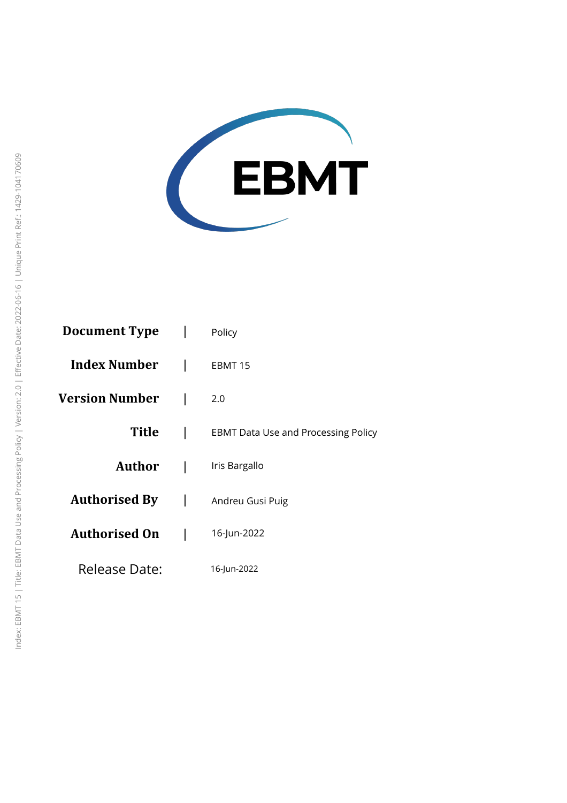

| Document Type         | Policy                                     |
|-----------------------|--------------------------------------------|
| <b>Index Number</b>   | EBMT 15                                    |
| <b>Version Number</b> | 2.0                                        |
| Title                 | <b>EBMT Data Use and Processing Policy</b> |
| Author                | Iris Bargallo                              |
| <b>Authorised By</b>  | Andreu Gusi Puig                           |
| <b>Authorised On</b>  | 16-Jun-2022                                |
| Release Date:         | 16-Jun-2022                                |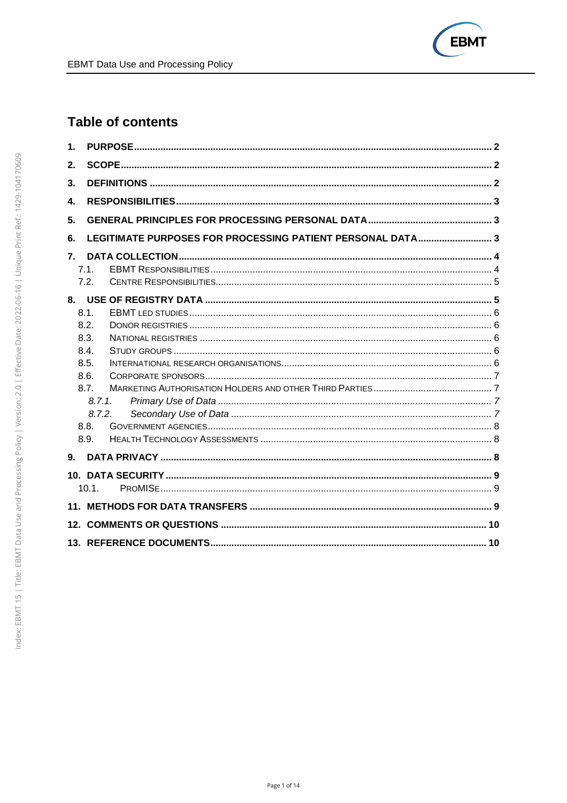

# **Table of contents**

| 1.                                                               |  |
|------------------------------------------------------------------|--|
| 2.                                                               |  |
| 3.                                                               |  |
| 4.                                                               |  |
| 5.                                                               |  |
| LEGITIMATE PURPOSES FOR PROCESSING PATIENT PERSONAL DATA 3<br>6. |  |
| 7.                                                               |  |
| 7.1.                                                             |  |
| 7.2.                                                             |  |
|                                                                  |  |
| 8.1.                                                             |  |
| 8.2.                                                             |  |
| 8.3.                                                             |  |
| 8.4.                                                             |  |
| 8.5.                                                             |  |
| 8.6.                                                             |  |
| 8.7.                                                             |  |
| 8.7.1.                                                           |  |
| 8.7.2.                                                           |  |
| 8.8.                                                             |  |
| 8.9.                                                             |  |
| 9 <sub>1</sub>                                                   |  |
|                                                                  |  |
| 10.1.                                                            |  |
|                                                                  |  |
|                                                                  |  |
|                                                                  |  |
|                                                                  |  |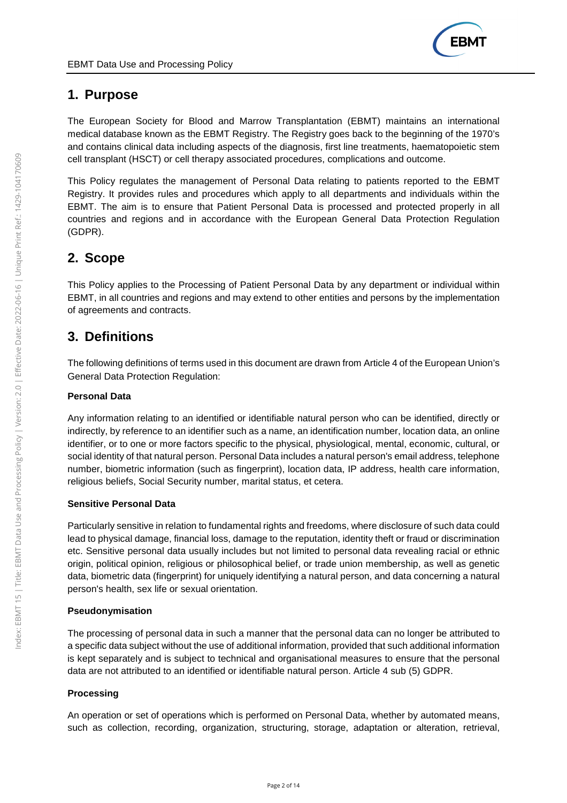# **1. Purpose**

The European Society for Blood and Marrow Transplantation (EBMT) maintains an international medical database known as the EBMT Registry. The Registry goes back to the beginning of the 1970's and contains clinical data including aspects of the diagnosis, first line treatments, haematopoietic stem cell transplant (HSCT) or cell therapy associated procedures, complications and outcome.

This Policy regulates the management of Personal Data relating to patients reported to the EBMT Registry. It provides rules and procedures which apply to all departments and individuals within the EBMT. The aim is to ensure that Patient Personal Data is processed and protected properly in all countries and regions and in accordance with the European General Data Protection Regulation (GDPR).

# **2. Scope**

This Policy applies to the Processing of Patient Personal Data by any department or individual within EBMT, in all countries and regions and may extend to other entities and persons by the implementation of agreements and contracts.

# **3. Definitions**

The following definitions of terms used in this document are drawn from Article 4 of the European Union's General Data Protection Regulation:

## **Personal Data**

Any information relating to an identified or identifiable natural person who can be identified, directly or indirectly, by reference to an identifier such as a name, an identification number, location data, an online identifier, or to one or more factors specific to the physical, physiological, mental, economic, cultural, or social identity of that natural person. Personal Data includes a natural person's email address, telephone number, biometric information (such as fingerprint), location data, IP address, health care information, religious beliefs, Social Security number, marital status, et cetera.

## **Sensitive Personal Data**

Particularly sensitive in relation to fundamental rights and freedoms, where disclosure of such data could lead to physical damage, financial loss, damage to the reputation, identity theft or fraud or discrimination etc. Sensitive personal data usually includes but not limited to personal data revealing racial or ethnic origin, political opinion, religious or philosophical belief, or trade union membership, as well as genetic data, biometric data (fingerprint) for uniquely identifying a natural person, and data concerning a natural person's health, sex life or sexual orientation.

## **Pseudonymisation**

The processing of personal data in such a manner that the personal data can no longer be attributed to a specific data subject without the use of additional information, provided that such additional information is kept separately and is subject to technical and organisational measures to ensure that the personal data are not attributed to an identified or identifiable natural person. Article 4 sub (5) GDPR.

## **Processing**

An operation or set of operations which is performed on Personal Data, whether by automated means, such as collection, recording, organization, structuring, storage, adaptation or alteration, retrieval,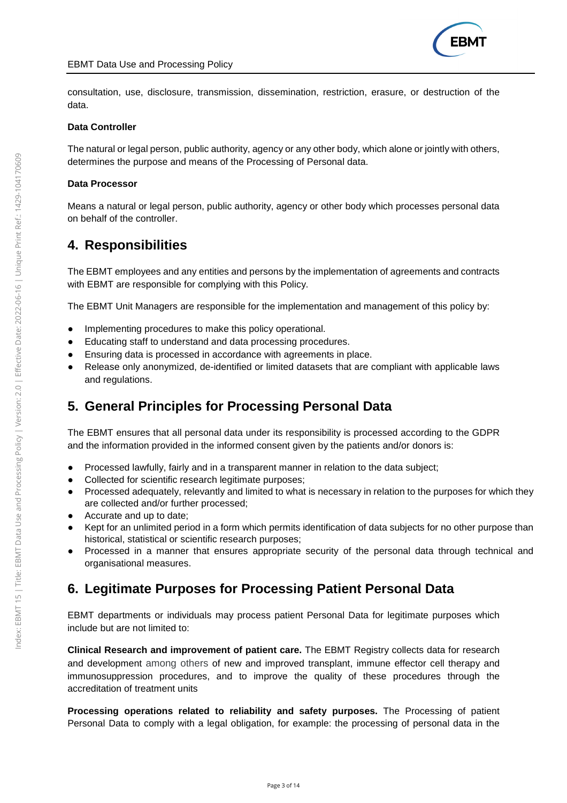consultation, use, disclosure, transmission, dissemination, restriction, erasure, or destruction of the data.

#### **Data Controller**

The natural or legal person, public authority, agency or any other body, which alone or jointly with others, determines the purpose and means of the Processing of Personal data.

#### **Data Processor**

Means a natural or legal person, public authority, agency or other body which processes personal data on behalf of the controller.

## **4. Responsibilities**

The EBMT employees and any entities and persons by the implementation of agreements and contracts with EBMT are responsible for complying with this Policy.

The EBMT Unit Managers are responsible for the implementation and management of this policy by:

- Implementing procedures to make this policy operational.
- Educating staff to understand and data processing procedures.
- Ensuring data is processed in accordance with agreements in place.
- Release only anonymized, de-identified or limited datasets that are compliant with applicable laws and regulations.

# **5. General Principles for Processing Personal Data**

The EBMT ensures that all personal data under its responsibility is processed according to the GDPR and the information provided in the informed consent given by the patients and/or donors is:

- Processed lawfully, fairly and in a transparent manner in relation to the data subject;
- Collected for scientific research legitimate purposes;
- Processed adequately, relevantly and limited to what is necessary in relation to the purposes for which they are collected and/or further processed;
- Accurate and up to date;
- Kept for an unlimited period in a form which permits identification of data subjects for no other purpose than historical, statistical or scientific research purposes;
- Processed in a manner that ensures appropriate security of the personal data through technical and organisational measures.

# **6. Legitimate Purposes for Processing Patient Personal Data**

EBMT departments or individuals may process patient Personal Data for legitimate purposes which include but are not limited to:

**Clinical Research and improvement of patient care.** The EBMT Registry collects data for research and development among others of new and improved transplant, immune effector cell therapy and immunosuppression procedures, and to improve the quality of these procedures through the accreditation of treatment units

**Processing operations related to reliability and safety purposes.** The Processing of patient Personal Data to comply with a legal obligation, for example: the processing of personal data in the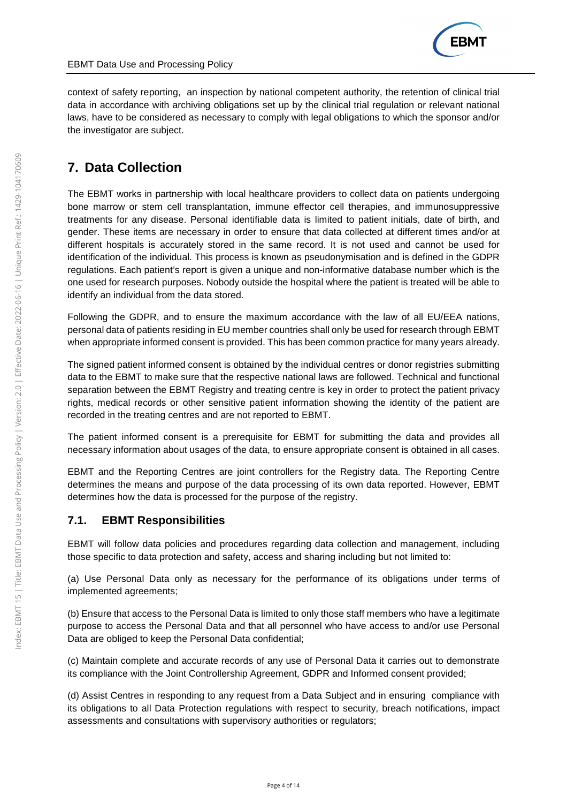

context of safety reporting, an inspection by national competent authority, the retention of clinical trial data in accordance with archiving obligations set up by the clinical trial regulation or relevant national laws, have to be considered as necessary to comply with legal obligations to which the sponsor and/or the investigator are subject.

# **7. Data Collection**

The EBMT works in partnership with local healthcare providers to collect data on patients undergoing bone marrow or stem cell transplantation, immune effector cell therapies, and immunosuppressive treatments for any disease. Personal identifiable data is limited to patient initials, date of birth, and gender. These items are necessary in order to ensure that data collected at different times and/or at different hospitals is accurately stored in the same record. It is not used and cannot be used for identification of the individual. This process is known as pseudonymisation and is defined in the GDPR regulations. Each patient's report is given a unique and non-informative database number which is the one used for research purposes. Nobody outside the hospital where the patient is treated will be able to identify an individual from the data stored.

Following the GDPR, and to ensure the maximum accordance with the law of all EU/EEA nations, personal data of patients residing in EU member countries shall only be used for research through EBMT when appropriate informed consent is provided. This has been common practice for many years already.

The signed patient informed consent is obtained by the individual centres or donor registries submitting data to the EBMT to make sure that the respective national laws are followed. Technical and functional separation between the EBMT Registry and treating centre is key in order to protect the patient privacy rights, medical records or other sensitive patient information showing the identity of the patient are recorded in the treating centres and are not reported to EBMT.

The patient informed consent is a prerequisite for EBMT for submitting the data and provides all necessary information about usages of the data, to ensure appropriate consent is obtained in all cases.

EBMT and the Reporting Centres are joint controllers for the Registry data. The Reporting Centre determines the means and purpose of the data processing of its own data reported. However, EBMT determines how the data is processed for the purpose of the registry.

## **7.1. EBMT Responsibilities**

EBMT will follow data policies and procedures regarding data collection and management, including those specific to data protection and safety, access and sharing including but not limited to:

(a) Use Personal Data only as necessary for the performance of its obligations under terms of implemented agreements;

(b) Ensure that access to the Personal Data is limited to only those staff members who have a legitimate purpose to access the Personal Data and that all personnel who have access to and/or use Personal Data are obliged to keep the Personal Data confidential;

(c) Maintain complete and accurate records of any use of Personal Data it carries out to demonstrate its compliance with the Joint Controllership Agreement, GDPR and Informed consent provided;

(d) Assist Centres in responding to any request from a Data Subject and in ensuring compliance with its obligations to all Data Protection regulations with respect to security, breach notifications, impact assessments and consultations with supervisory authorities or regulators;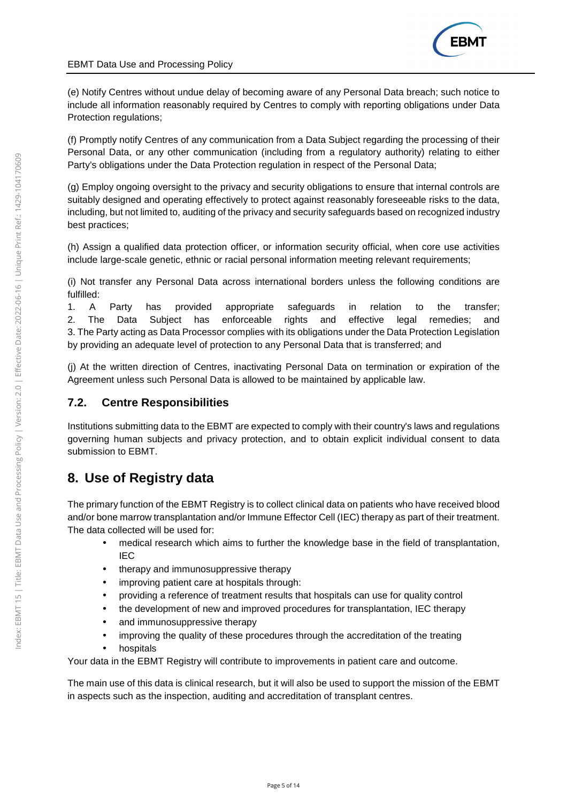

(e) Notify Centres without undue delay of becoming aware of any Personal Data breach; such notice to include all information reasonably required by Centres to comply with reporting obligations under Data Protection regulations;

(f) Promptly notify Centres of any communication from a Data Subject regarding the processing of their Personal Data, or any other communication (including from a regulatory authority) relating to either Party's obligations under the Data Protection regulation in respect of the Personal Data;

(g) Employ ongoing oversight to the privacy and security obligations to ensure that internal controls are suitably designed and operating effectively to protect against reasonably foreseeable risks to the data, including, but not limited to, auditing of the privacy and security safeguards based on recognized industry best practices;

(h) Assign a qualified data protection officer, or information security official, when core use activities include large-scale genetic, ethnic or racial personal information meeting relevant requirements;

(i) Not transfer any Personal Data across international borders unless the following conditions are fulfilled:

1. A Party has provided appropriate safeguards in relation to the transfer; 2. The Data Subject has enforceable rights and effective legal remedies; and 3. The Party acting as Data Processor complies with its obligations under the Data Protection Legislation by providing an adequate level of protection to any Personal Data that is transferred; and

(j) At the written direction of Centres, inactivating Personal Data on termination or expiration of the Agreement unless such Personal Data is allowed to be maintained by applicable law.

## **7.2. Centre Responsibilities**

Institutions submitting data to the EBMT are expected to comply with their country's laws and regulations governing human subjects and privacy protection, and to obtain explicit individual consent to data submission to EBMT.

# **8. Use of Registry data**

The primary function of the EBMT Registry is to collect clinical data on patients who have received blood and/or bone marrow transplantation and/or Immune Effector Cell (IEC) therapy as part of their treatment. The data collected will be used for:

- medical research which aims to further the knowledge base in the field of transplantation, IEC
- therapy and immunosuppressive therapy
- improving patient care at hospitals through:
- providing a reference of treatment results that hospitals can use for quality control
- the development of new and improved procedures for transplantation, IEC therapy
- and immunosuppressive therapy
- improving the quality of these procedures through the accreditation of the treating
- hospitals

Your data in the EBMT Registry will contribute to improvements in patient care and outcome.

The main use of this data is clinical research, but it will also be used to support the mission of the EBMT in aspects such as the inspection, auditing and accreditation of transplant centres.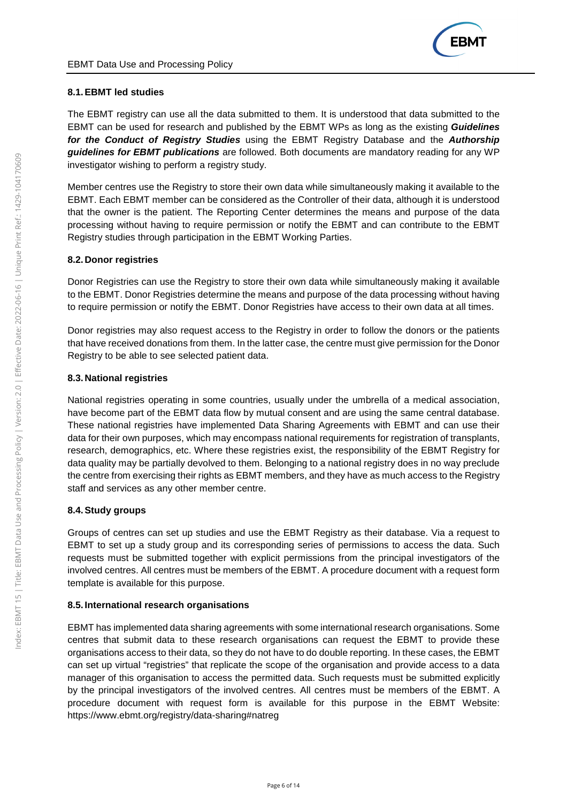## **8.1. EBMT led studies**

The EBMT registry can use all the data submitted to them. It is understood that data submitted to the EBMT can be used for research and published by the EBMT WPs as long as the existing **Guidelines for the Conduct of Registry Studies** using the EBMT Registry Database and the **Authorship guidelines for EBMT publications** are followed. Both documents are mandatory reading for any WP investigator wishing to perform a registry study.

Member centres use the Registry to store their own data while simultaneously making it available to the EBMT. Each EBMT member can be considered as the Controller of their data, although it is understood that the owner is the patient. The Reporting Center determines the means and purpose of the data processing without having to require permission or notify the EBMT and can contribute to the EBMT Registry studies through participation in the EBMT Working Parties.

### **8.2. Donor registries**

Donor Registries can use the Registry to store their own data while simultaneously making it available to the EBMT. Donor Registries determine the means and purpose of the data processing without having to require permission or notify the EBMT. Donor Registries have access to their own data at all times.

Donor registries may also request access to the Registry in order to follow the donors or the patients that have received donations from them. In the latter case, the centre must give permission for the Donor Registry to be able to see selected patient data.

### **8.3. National registries**

National registries operating in some countries, usually under the umbrella of a medical association, have become part of the EBMT data flow by mutual consent and are using the same central database. These national registries have implemented Data Sharing Agreements with EBMT and can use their data for their own purposes, which may encompass national requirements for registration of transplants, research, demographics, etc. Where these registries exist, the responsibility of the EBMT Registry for data quality may be partially devolved to them. Belonging to a national registry does in no way preclude the centre from exercising their rights as EBMT members, and they have as much access to the Registry staff and services as any other member centre.

### **8.4. Study groups**

Groups of centres can set up studies and use the EBMT Registry as their database. Via a request to EBMT to set up a study group and its corresponding series of permissions to access the data. Such requests must be submitted together with explicit permissions from the principal investigators of the involved centres. All centres must be members of the EBMT. A procedure document with a request form template is available for this purpose.

### **8.5. International research organisations**

EBMT has implemented data sharing agreements with some international research organisations. Some centres that submit data to these research organisations can request the EBMT to provide these organisations access to their data, so they do not have to do double reporting. In these cases, the EBMT can set up virtual "registries" that replicate the scope of the organisation and provide access to a data manager of this organisation to access the permitted data. Such requests must be submitted explicitly by the principal investigators of the involved centres. All centres must be members of the EBMT. A procedure document with request form is available for this purpose in the EBMT Website: https://www.ebmt.org/registry/data-sharing#natreg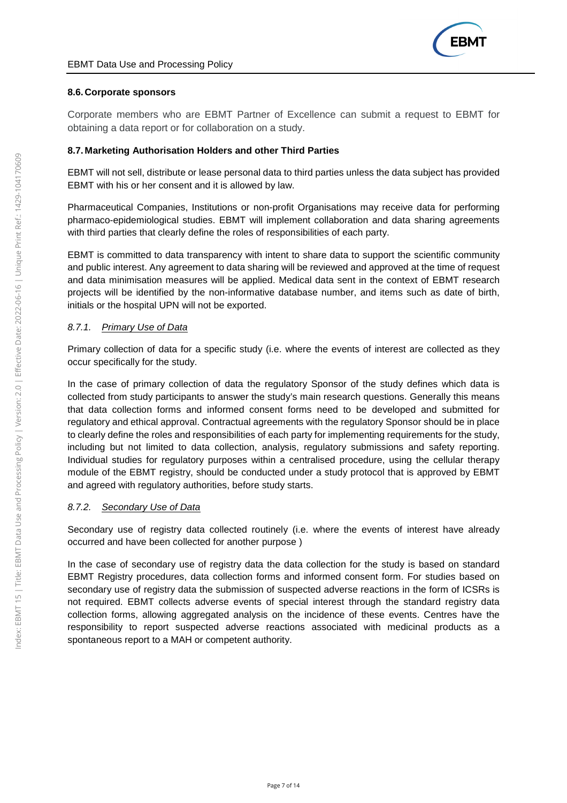

#### **8.6. Corporate sponsors**

Corporate members who are EBMT Partner of Excellence can submit a request to EBMT for obtaining a data report or for collaboration on a study.

#### **8.7. Marketing Authorisation Holders and other Third Parties**

EBMT will not sell, distribute or lease personal data to third parties unless the data subject has provided EBMT with his or her consent and it is allowed by law.

Pharmaceutical Companies, Institutions or non-profit Organisations may receive data for performing pharmaco-epidemiological studies. EBMT will implement collaboration and data sharing agreements with third parties that clearly define the roles of responsibilities of each party.

EBMT is committed to data transparency with intent to share data to support the scientific community and public interest. Any agreement to data sharing will be reviewed and approved at the time of request and data minimisation measures will be applied. Medical data sent in the context of EBMT research projects will be identified by the non-informative database number, and items such as date of birth, initials or the hospital UPN will not be exported.

### 8.7.1. Primary Use of Data

Primary collection of data for a specific study (i.e. where the events of interest are collected as they occur specifically for the study.

In the case of primary collection of data the regulatory Sponsor of the study defines which data is collected from study participants to answer the study's main research questions. Generally this means that data collection forms and informed consent forms need to be developed and submitted for regulatory and ethical approval. Contractual agreements with the regulatory Sponsor should be in place to clearly define the roles and responsibilities of each party for implementing requirements for the study, including but not limited to data collection, analysis, regulatory submissions and safety reporting. Individual studies for regulatory purposes within a centralised procedure, using the cellular therapy module of the EBMT registry, should be conducted under a study protocol that is approved by EBMT and agreed with regulatory authorities, before study starts.

#### 8.7.2. Secondary Use of Data

Secondary use of registry data collected routinely (i.e. where the events of interest have already occurred and have been collected for another purpose )

In the case of secondary use of registry data the data collection for the study is based on standard EBMT Registry procedures, data collection forms and informed consent form. For studies based on secondary use of registry data the submission of suspected adverse reactions in the form of ICSRs is not required. EBMT collects adverse events of special interest through the standard registry data collection forms, allowing aggregated analysis on the incidence of these events. Centres have the responsibility to report suspected adverse reactions associated with medicinal products as a spontaneous report to a MAH or competent authority.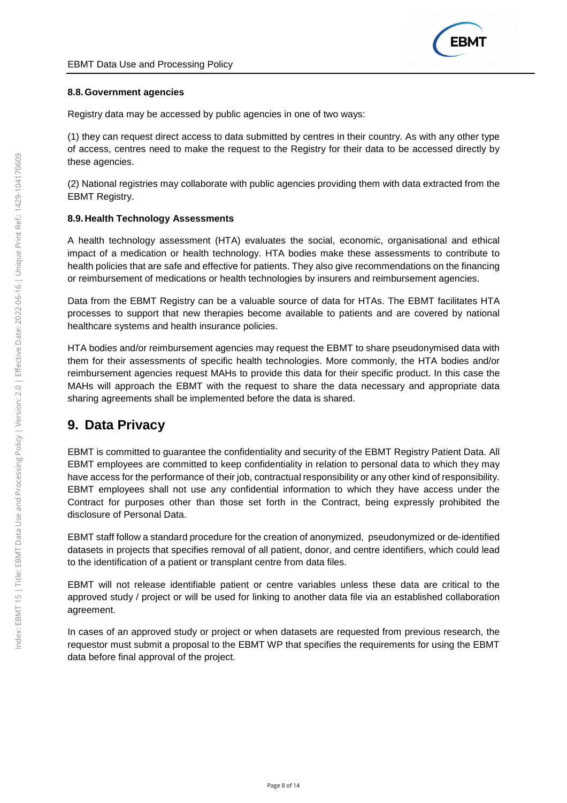### **8.8. Government agencies**

Registry data may be accessed by public agencies in one of two ways:

(1) they can request direct access to data submitted by centres in their country. As with any other type of access, centres need to make the request to the Registry for their data to be accessed directly by these agencies.

(2) National registries may collaborate with public agencies providing them with data extracted from the EBMT Registry.

### **8.9. Health Technology Assessments**

A health technology assessment (HTA) evaluates the social, economic, organisational and ethical impact of a medication or health technology. HTA bodies make these assessments to contribute to health policies that are safe and effective for patients. They also give recommendations on the financing or reimbursement of medications or health technologies by insurers and reimbursement agencies.

Data from the EBMT Registry can be a valuable source of data for HTAs. The EBMT facilitates HTA processes to support that new therapies become available to patients and are covered by national healthcare systems and health insurance policies.

HTA bodies and/or reimbursement agencies may request the EBMT to share pseudonymised data with them for their assessments of specific health technologies. More commonly, the HTA bodies and/or reimbursement agencies request MAHs to provide this data for their specific product. In this case the MAHs will approach the EBMT with the request to share the data necessary and appropriate data sharing agreements shall be implemented before the data is shared.

# **9. Data Privacy**

EBMT is committed to guarantee the confidentiality and security of the EBMT Registry Patient Data. All EBMT employees are committed to keep confidentiality in relation to personal data to which they may have access for the performance of their job, contractual responsibility or any other kind of responsibility. EBMT employees shall not use any confidential information to which they have access under the Contract for purposes other than those set forth in the Contract, being expressly prohibited the disclosure of Personal Data.

EBMT staff follow a standard procedure for the creation of anonymized, pseudonymized or de‐identified datasets in projects that specifies removal of all patient, donor, and centre identifiers, which could lead to the identification of a patient or transplant centre from data files.

EBMT will not release identifiable patient or centre variables unless these data are critical to the approved study / project or will be used for linking to another data file via an established collaboration agreement.

In cases of an approved study or project or when datasets are requested from previous research, the requestor must submit a proposal to the EBMT WP that specifies the requirements for using the EBMT data before final approval of the project.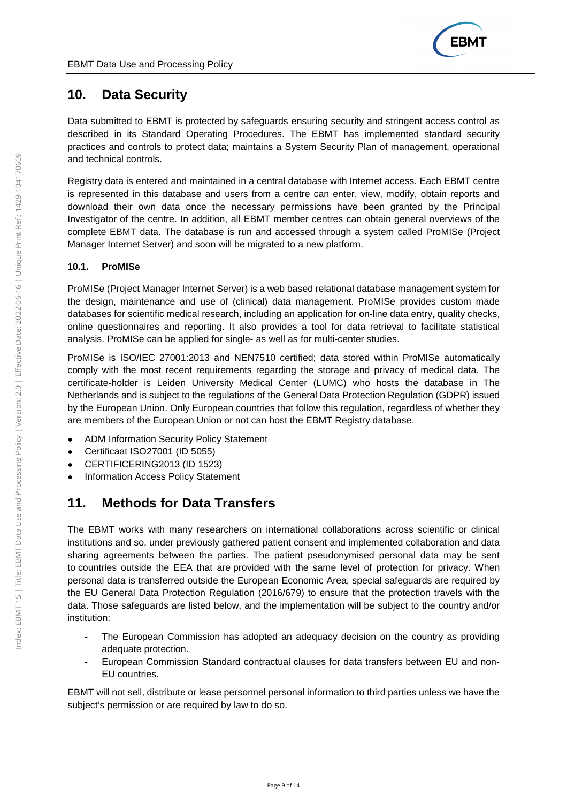# **10. Data Security**

Data submitted to EBMT is protected by safeguards ensuring security and stringent access control as described in its Standard Operating Procedures. The EBMT has implemented standard security practices and controls to protect data; maintains a System Security Plan of management, operational and technical controls.

Registry data is entered and maintained in a central database with Internet access. Each EBMT centre is represented in this database and users from a centre can enter, view, modify, obtain reports and download their own data once the necessary permissions have been granted by the Principal Investigator of the centre. In addition, all EBMT member centres can obtain general overviews of the complete EBMT data. The database is run and accessed through a system called ProMISe (Project Manager Internet Server) and soon will be migrated to a new platform.

## **10.1. ProMISe**

ProMISe (Project Manager Internet Server) is a web based relational database management system for the design, maintenance and use of (clinical) data management. ProMISe provides custom made databases for scientific medical research, including an application for on-line data entry, quality checks, online questionnaires and reporting. It also provides a tool for data retrieval to facilitate statistical analysis. ProMISe can be applied for single- as well as for multi-center studies.

ProMISe is ISO/IEC 27001:2013 and NEN7510 certified; data stored within ProMISe automatically comply with the most recent requirements regarding the storage and privacy of medical data. The certificate-holder is Leiden University Medical Center (LUMC) who hosts the database in The Netherlands and is subject to the regulations of the General Data Protection Regulation (GDPR) issued by the European Union. Only European countries that follow this regulation, regardless of whether they are members of the European Union or not can host the EBMT Registry database.

- ADM Information Security Policy Statement
- Certificaat ISO27001 (ID 5055)
- CERTIFICERING2013 (ID 1523)
- Information Access Policy Statement

# **11. Methods for Data Transfers**

The EBMT works with many researchers on international collaborations across scientific or clinical institutions and so, under previously gathered patient consent and implemented collaboration and data sharing agreements between the parties. The patient pseudonymised personal data may be sent to countries outside the EEA that are provided with the same level of protection for privacy. When personal data is transferred outside the European Economic Area, special safeguards are required by the EU General Data Protection Regulation (2016/679) to ensure that the protection travels with the data. Those safeguards are listed below, and the implementation will be subject to the country and/or institution:

- The European Commission has adopted an adequacy decision on the country as providing adequate protection.
- European Commission Standard contractual clauses for data transfers between EU and non-EU countries.

EBMT will not sell, distribute or lease personnel personal information to third parties unless we have the subject's permission or are required by law to do so.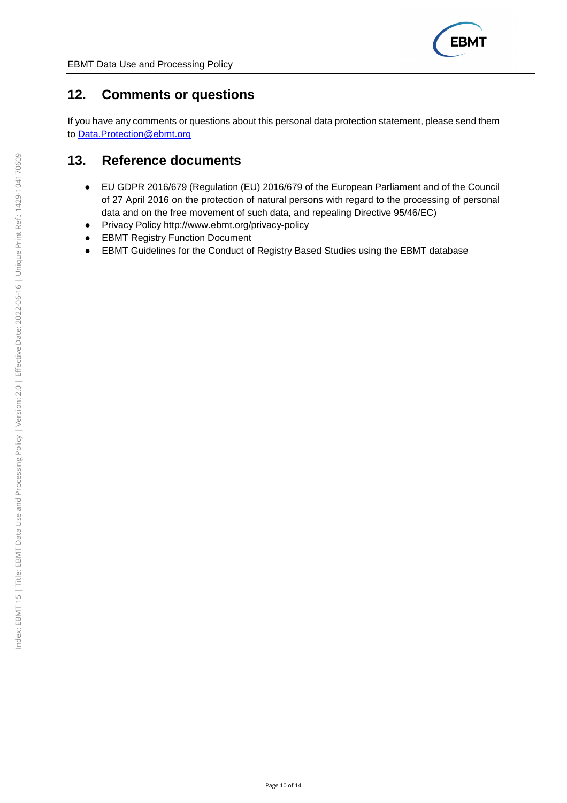

## **12. Comments or questions**

If you have any comments or questions about this personal data protection statement, please send them to Data.Protection@ebmt.org

## **13. Reference documents**

- EU GDPR 2016/679 (Regulation (EU) 2016/679 of the European Parliament and of the Council of 27 April 2016 on the protection of natural persons with regard to the processing of personal data and on the free movement of such data, and repealing Directive 95/46/EC)
- Privacy Policy http://www.ebmt.org/privacy-policy
- EBMT Registry Function Document
- EBMT Guidelines for the Conduct of Registry Based Studies using the EBMT database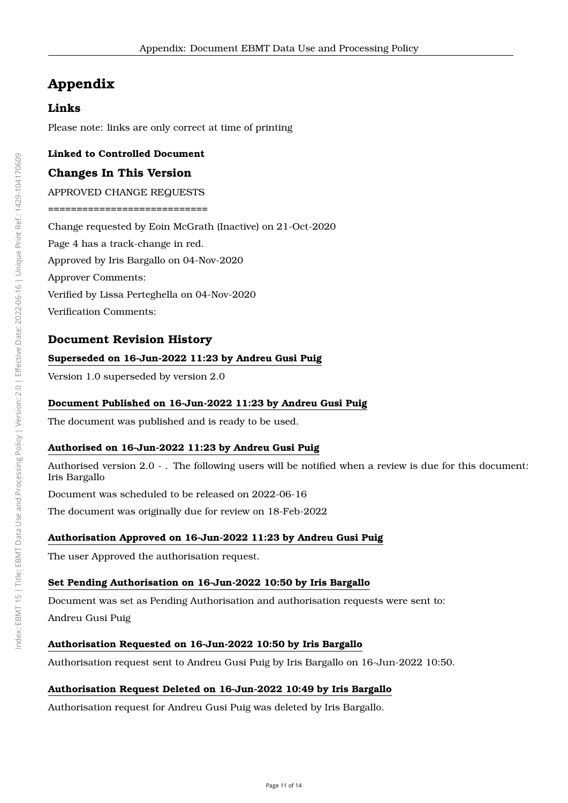# **Appendix**

## **Links**

Please note: links are only correct at time of printing

#### **Linked to Controlled Document**

### **Changes In This Version**

APPROVED CHANGE REQUESTS

============================

Change requested by Eoin McGrath (Inactive) on 21-Oct-2020

Page 4 has a track-change in red.

Approved by Iris Bargallo on 04-Nov-2020

Approver Comments:

Verified by Lissa Perteghella on 04-Nov-2020

Verification Comments:

#### **Document Revision History**

#### **Superseded on 16-Jun-2022 11:23 by Andreu Gusi Puig**

Version 1.0 superseded by version 2.0

#### **Document Published on 16-Jun-2022 11:23 by Andreu Gusi Puig**

The document was published and is ready to be used.

#### **Authorised on 16-Jun-2022 11:23 by Andreu Gusi Puig**

Authorised version 2.0 - . The following users will be notified when a review is due for this document: Iris Bargallo

Document was scheduled to be released on 2022-06-16

The document was originally due for review on 18-Feb-2022

#### **Authorisation Approved on 16-Jun-2022 11:23 by Andreu Gusi Puig**

The user Approved the authorisation request.

#### **Set Pending Authorisation on 16-Jun-2022 10:50 by Iris Bargallo**

Document was set as Pending Authorisation and authorisation requests were sent to:

Andreu Gusi Puig

#### **Authorisation Requested on 16-Jun-2022 10:50 by Iris Bargallo**

Authorisation request sent to Andreu Gusi Puig by Iris Bargallo on 16-Jun-2022 10:50.

#### **Authorisation Request Deleted on 16-Jun-2022 10:49 by Iris Bargallo**

Authorisation request for Andreu Gusi Puig was deleted by Iris Bargallo.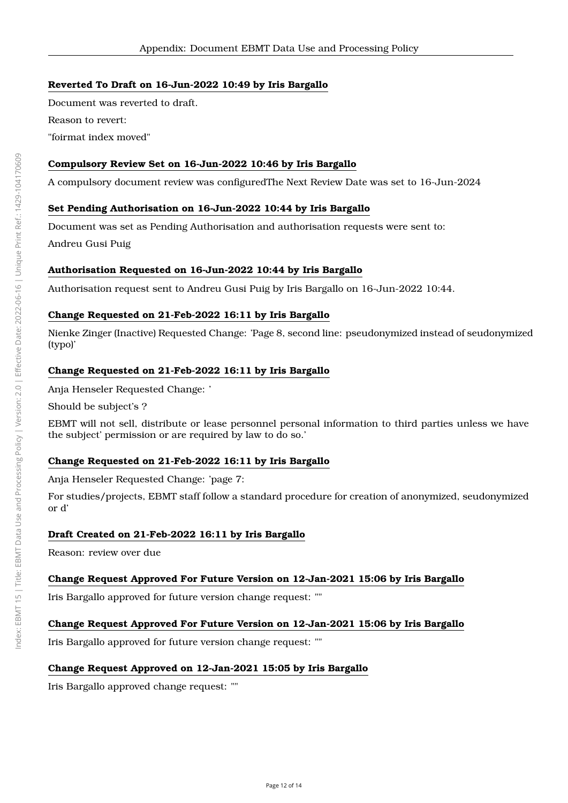### **Reverted To Draft on 16-Jun-2022 10:49 by Iris Bargallo**

Document was reverted to draft. Reason to revert: "foirmat index moved"

### **Compulsory Review Set on 16-Jun-2022 10:46 by Iris Bargallo**

A compulsory document review was configuredThe Next Review Date was set to 16-Jun-2024

#### **Set Pending Authorisation on 16-Jun-2022 10:44 by Iris Bargallo**

Document was set as Pending Authorisation and authorisation requests were sent to:

Andreu Gusi Puig

#### **Authorisation Requested on 16-Jun-2022 10:44 by Iris Bargallo**

Authorisation request sent to Andreu Gusi Puig by Iris Bargallo on 16-Jun-2022 10:44.

#### **Change Requested on 21-Feb-2022 16:11 by Iris Bargallo**

Nienke Zinger (Inactive) Requested Change: 'Page 8, second line: pseudonymized instead of seudonymized (typo)'

#### **Change Requested on 21-Feb-2022 16:11 by Iris Bargallo**

Anja Henseler Requested Change: '

Should be subject's ?

EBMT will not sell, distribute or lease personnel personal information to third parties unless we have the subject' permission or are required by law to do so.'

#### **Change Requested on 21-Feb-2022 16:11 by Iris Bargallo**

Anja Henseler Requested Change: 'page 7:

For studies/projects, EBMT staff follow a standard procedure for creation of anonymized, seudonymized or d'

#### **Draft Created on 21-Feb-2022 16:11 by Iris Bargallo**

Reason: review over due

#### **Change Request Approved For Future Version on 12-Jan-2021 15:06 by Iris Bargallo**

Iris Bargallo approved for future version change request: ""

#### **Change Request Approved For Future Version on 12-Jan-2021 15:06 by Iris Bargallo**

Iris Bargallo approved for future version change request: ""

#### **Change Request Approved on 12-Jan-2021 15:05 by Iris Bargallo**

Iris Bargallo approved change request: ""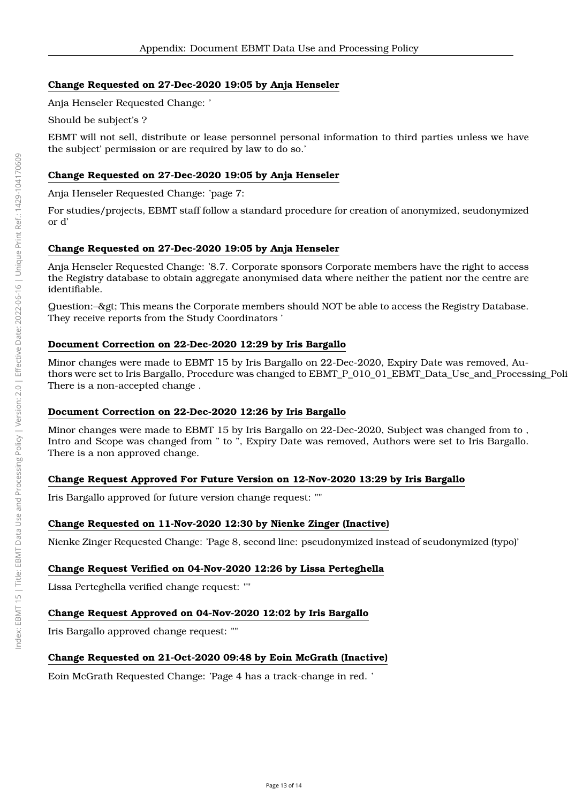### **Change Requested on 27-Dec-2020 19:05 by Anja Henseler**

Anja Henseler Requested Change: '

Should be subject's ?

EBMT will not sell, distribute or lease personnel personal information to third parties unless we have the subject' permission or are required by law to do so.'

### **Change Requested on 27-Dec-2020 19:05 by Anja Henseler**

Anja Henseler Requested Change: 'page 7:

For studies/projects, EBMT staff follow a standard procedure for creation of anonymized, seudonymized or d'

### **Change Requested on 27-Dec-2020 19:05 by Anja Henseler**

Anja Henseler Requested Change: '8.7. Corporate sponsors Corporate members have the right to access the Registry database to obtain aggregate anonymised data where neither the patient nor the centre are identifiable.

Question:–> This means the Corporate members should NOT be able to access the Registry Database. They receive reports from the Study Coordinators '

#### **Document Correction on 22-Dec-2020 12:29 by Iris Bargallo**

Minor changes were made to EBMT 15 by Iris Bargallo on 22-Dec-2020, Expiry Date was removed, Authors were set to Iris Bargallo, Procedure was changed to EBMT\_P\_010\_01\_EBMT\_Data\_Use\_and\_Processing\_Poli There is a non-accepted change .

#### **Document Correction on 22-Dec-2020 12:26 by Iris Bargallo**

Minor changes were made to EBMT 15 by Iris Bargallo on 22-Dec-2020, Subject was changed from to , Intro and Scope was changed from " to ", Expiry Date was removed, Authors were set to Iris Bargallo. There is a non approved change.

#### **Change Request Approved For Future Version on 12-Nov-2020 13:29 by Iris Bargallo**

Iris Bargallo approved for future version change request: ""

#### **Change Requested on 11-Nov-2020 12:30 by Nienke Zinger (Inactive)**

Nienke Zinger Requested Change: 'Page 8, second line: pseudonymized instead of seudonymized (typo)'

#### **Change Request Verified on 04-Nov-2020 12:26 by Lissa Perteghella**

Lissa Perteghella verified change request: ""

#### **Change Request Approved on 04-Nov-2020 12:02 by Iris Bargallo**

Iris Bargallo approved change request: ""

#### **Change Requested on 21-Oct-2020 09:48 by Eoin McGrath (Inactive)**

Eoin McGrath Requested Change: 'Page 4 has a track-change in red. '